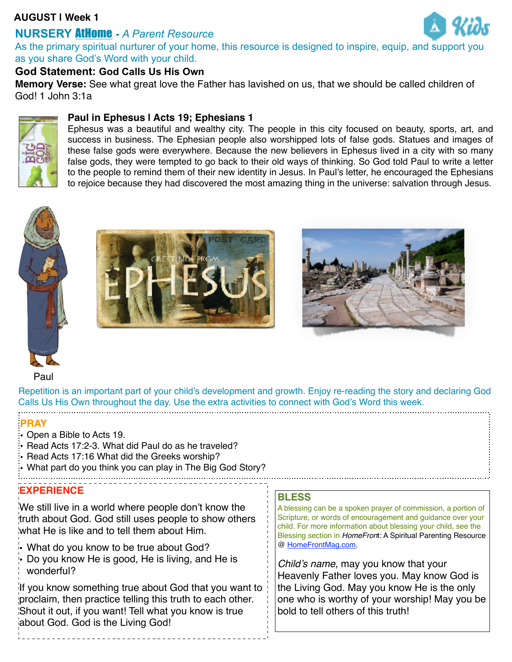## **AUGUST | Week 1**

# **NURSERY** AtHome **-** *A Parent Resource*



As the primary spiritual nurturer of your home, this resource is designed to inspire, equip, and support you as you share God's Word with your child.

## **God Statement: God Calls Us His Own**

**Memory Verse:** See what great love the Father has lavished on us, that we should be called children of God! 1 John 3:1a

### **Paul in Ephesus | Acts 19; Ephesians 1**



Ephesus was a beautiful and wealthy city. The people in this city focused on beauty, sports, art, and success in business. The Ephesian people also worshipped lots of false gods. Statues and images of these false gods were everywhere. Because the new believers in Ephesus lived in a city with so many false gods, they were tempted to go back to their old ways of thinking. So God told Paul to write a letter to the people to remind them of their new identity in Jesus. In Paul's letter, he encouraged the Ephesians to rejoice because they had discovered the most amazing thing in the universe: salvation through Jesus.







Paul

Repetition is an important part of your child's development and growth. Enjoy re-reading the story and declaring God Calls Us His Own throughout the day. Use the extra activities to connect with God's Word this week.

### **PRAY**

- Open a Bible to Acts 19.
- Read Acts 17:2-3. What did Paul do as he traveled?
- Read Acts 17:16 What did the Greeks worship?
- What part do you think you can play in The Big God Story?
- 

#### **EXPERIENCE**

We still live in a world where people don't know the truth about God. God still uses people to show others what He is like and to tell them about Him.

- What do you know to be true about God?
- Do you know He is good, He is living, and He is wonderful?

If you know something true about God that you want to proclaim, then practice telling this truth to each other. Shout it out, if you want! Tell what you know is true about God. God is the Living God!

#### **BLESS**

A blessing can be a spoken prayer of commission, a portion of Scripture, or words of encouragement and guidance over your child. For more information about blessing your child, see the Blessing section in *HomeFron*t: A Spiritual Parenting Resource @ [HomeFrontMag.com.](http://www.homefrontmag.com/)

*Child's name*, may you know that your Heavenly Father loves you. May know God is the Living God. May you know He is the only one who is worthy of your worship! May you be bold to tell others of this truth!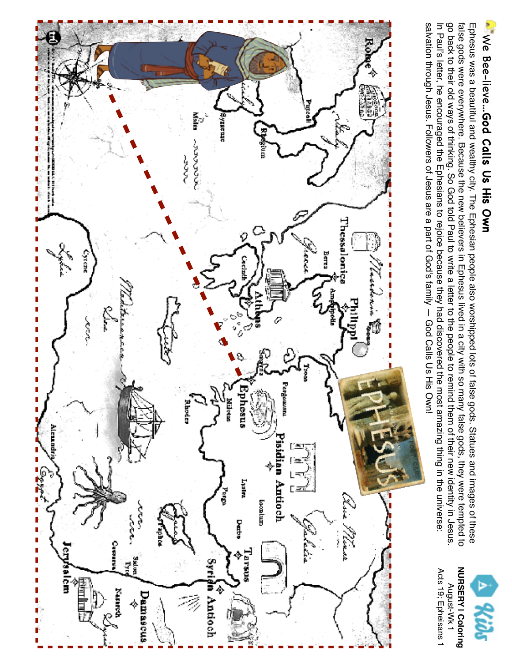

salvation through Jesus. Followers of Jesus are a part of God's family - God Calls Us His Own! In Paul's letter, he encouraged the Ephesians to rejoice because they had discovered the most amazing thing in the universe: go back to their old ways of thinking. So Goot told Paul to write a letter to the people to remind them of their new identity in Jesus false gods were everywhere. Because the new believers in Ephesus lived in a city with so many false gods, they were tempted to Ephesus was a beautiful and wealthy city. The Ephesian people also worshipped lots of false gods. Statues and images of these salvation through Jesus. Followers of Jesus are a part of God's family — God Calls Us His Own! In Paul's letter, he encouraged the Ephesians to rejoice because they had discovered the most amazing thing in the universe: go back to their old ways of thinking. So God told Paul to write a letter to the people to remind them of their new identity in Jesus. false gods were everywhere. Because the new believers in Ephesus lived in a city with so many false gods, they were tempted to Ephesus was a beautiful and wealthy city. The Ephesian people also worshipped lots of false gods. Statues and images of these



Acts 19; Epheisans 1

Acts 19; Epheisans 1 August-Wk 1